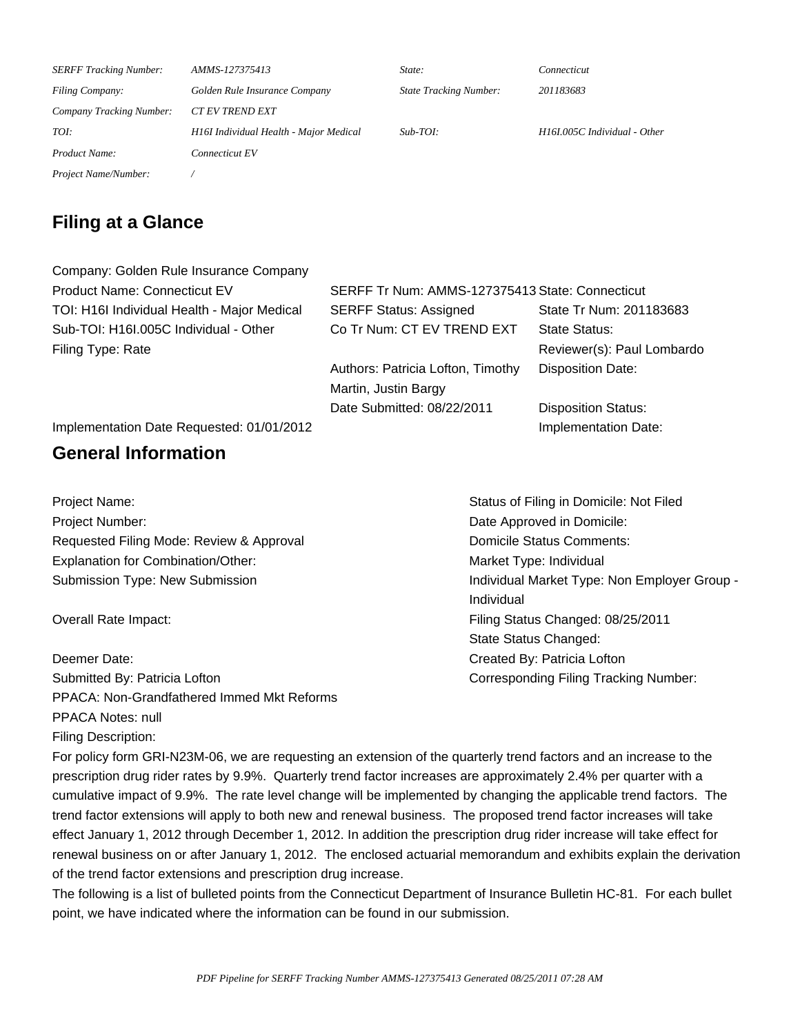| <b>SERFF Tracking Number:</b>   | AMMS-127375413                         | State:                        | Connecticut                  |
|---------------------------------|----------------------------------------|-------------------------------|------------------------------|
| <b>Filing Company:</b>          | Golden Rule Insurance Company          | <b>State Tracking Number:</b> | 201183683                    |
| <b>Company Tracking Number:</b> | <b>CT EV TREND EXT</b>                 |                               |                              |
| TOI:                            | H16I Individual Health - Major Medical | $Sub-TOI:$                    | H16I.005C Individual - Other |
| Product Name:                   | Connecticut EV                         |                               |                              |
| Project Name/Number:            |                                        |                               |                              |

### **Filing at a Glance**

| Company: Golden Rule Insurance Company      |                                                 |                            |  |
|---------------------------------------------|-------------------------------------------------|----------------------------|--|
| <b>Product Name: Connecticut EV</b>         | SERFF Tr Num: AMMS-127375413 State: Connecticut |                            |  |
| TOI: H16I Individual Health - Major Medical | <b>SERFF Status: Assigned</b>                   | State Tr Num: 201183683    |  |
| Sub-TOI: H16I.005C Individual - Other       | Co Tr Num: CT EV TREND EXT                      | State Status:              |  |
| Filing Type: Rate                           |                                                 | Reviewer(s): Paul Lombardo |  |
|                                             | Authors: Patricia Lofton, Timothy               | <b>Disposition Date:</b>   |  |
|                                             | Martin, Justin Bargy                            |                            |  |
|                                             | Date Submitted: 08/22/2011                      | <b>Disposition Status:</b> |  |
| Implementation Date Requested: 01/01/2012   |                                                 | Implementation Date:       |  |
|                                             |                                                 |                            |  |

### **General Information**

Project Name: Status of Filing in Domicile: Not Filed Project Number: **Date Approved in Domicile: Date Approved in Domicile:** Requested Filing Mode: Review & Approval **Domicile Status Comments:** Explanation for Combination/Other: Market Type: Individual

Deemer Date: Created By: Patricia Lofton Submitted By: Patricia Lofton Corresponding Filing Tracking Number: PPACA: Non-Grandfathered Immed Mkt Reforms PPACA Notes: null Filing Description:

Submission Type: New Submission Individual Market Type: Non Employer Group -Individual Overall Rate Impact: Filing Status Changed: 08/25/2011 State Status Changed:

For policy form GRI-N23M-06, we are requesting an extension of the quarterly trend factors and an increase to the prescription drug rider rates by 9.9%. Quarterly trend factor increases are approximately 2.4% per quarter with a cumulative impact of 9.9%. The rate level change will be implemented by changing the applicable trend factors. The trend factor extensions will apply to both new and renewal business. The proposed trend factor increases will take effect January 1, 2012 through December 1, 2012. In addition the prescription drug rider increase will take effect for renewal business on or after January 1, 2012. The enclosed actuarial memorandum and exhibits explain the derivation of the trend factor extensions and prescription drug increase. 

The following is a list of bulleted points from the Connecticut Department of Insurance Bulletin HC-81. For each bullet point, we have indicated where the information can be found in our submission.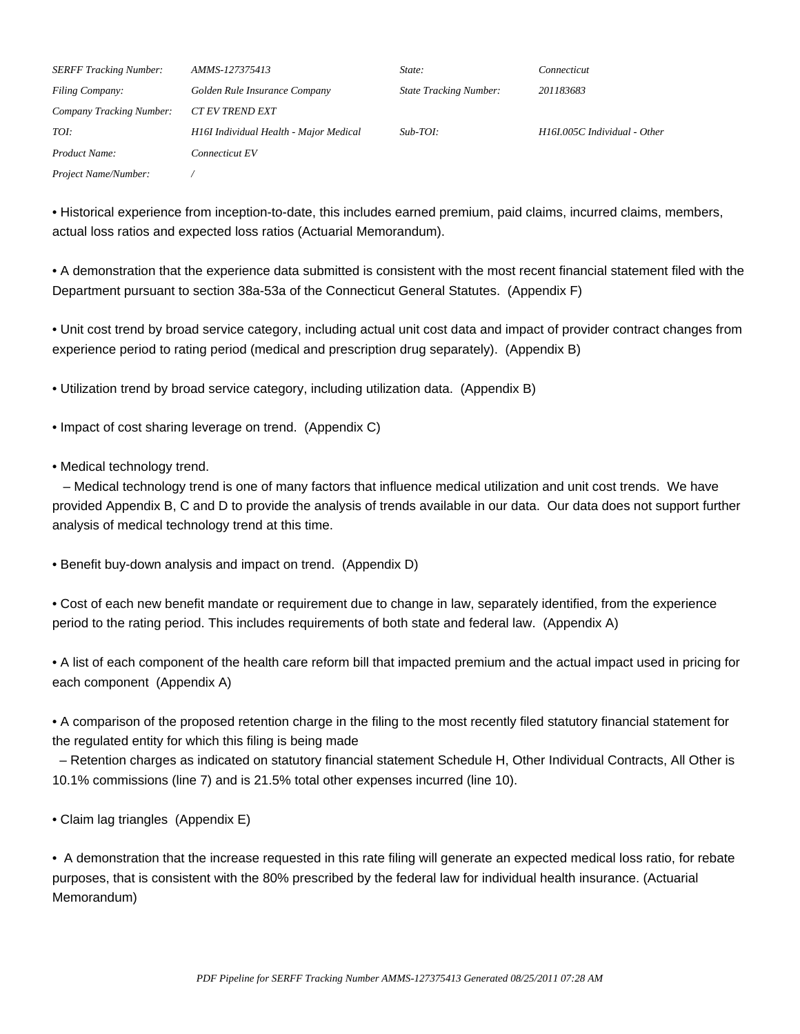| <b>SERFF Tracking Number:</b>   | AMMS-127375413                         | State:                        | Connecticut                 |
|---------------------------------|----------------------------------------|-------------------------------|-----------------------------|
| <b>Filing Company:</b>          | Golden Rule Insurance Company          | <b>State Tracking Number:</b> | 201183683                   |
| <b>Company Tracking Number:</b> | <i>CT EV TREND EXT</i>                 |                               |                             |
| TOI:                            | H16I Individual Health - Major Medical | $Sub-TOI:$                    | H16L005C Individual - Other |
| Product Name:                   | Connecticut EV                         |                               |                             |
| Project Name/Number:            |                                        |                               |                             |

• Historical experience from inception-to-date, this includes earned premium, paid claims, incurred claims, members, actual loss ratios and expected loss ratios (Actuarial Memorandum). 

• A demonstration that the experience data submitted is consistent with the most recent financial statement filed with the Department pursuant to section 38a-53a of the Connecticut General Statutes. (Appendix F) 

• Unit cost trend by broad service category, including actual unit cost data and impact of provider contract changes from experience period to rating period (medical and prescription drug separately). (Appendix B) 

• Utilization trend by broad service category, including utilization data. (Appendix B) 

• Impact of cost sharing leverage on trend. (Appendix C)

• Medical technology trend. 

 – Medical technology trend is one of many factors that influence medical utilization and unit cost trends. We have provided Appendix B, C and D to provide the analysis of trends available in our data. Our data does not support further analysis of medical technology trend at this time. 

• Benefit buy-down analysis and impact on trend. (Appendix D) 

• Cost of each new benefit mandate or requirement due to change in law, separately identified, from the experience period to the rating period. This includes requirements of both state and federal law. (Appendix A) 

• A list of each component of the health care reform bill that impacted premium and the actual impact used in pricing for each component (Appendix A)

• A comparison of the proposed retention charge in the filing to the most recently filed statutory financial statement for the regulated entity for which this filing is being made 

 – Retention charges as indicated on statutory financial statement Schedule H, Other Individual Contracts, All Other is 10.1% commissions (line 7) and is 21.5% total other expenses incurred (line 10). 

• Claim lag triangles (Appendix E) 

• A demonstration that the increase requested in this rate filing will generate an expected medical loss ratio, for rebate purposes, that is consistent with the 80% prescribed by the federal law for individual health insurance. (Actuarial Memorandum)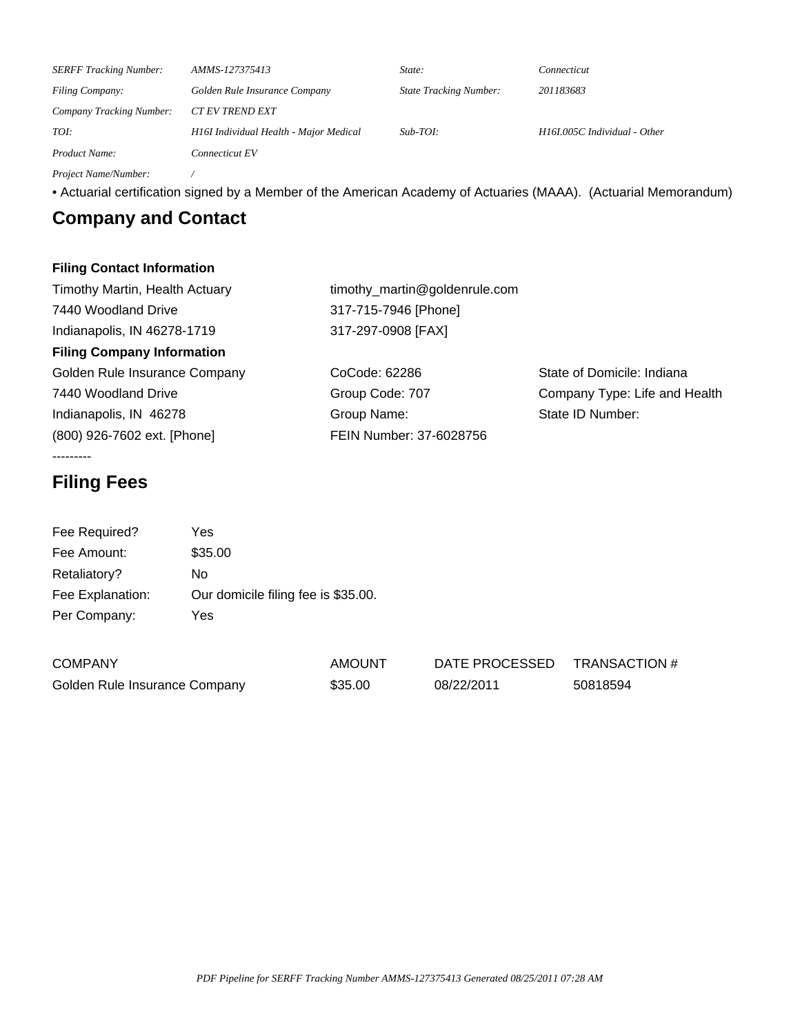| <b>SERFF Tracking Number:</b> | AMMS-127375413                         | State:                        | Connecticut                  |
|-------------------------------|----------------------------------------|-------------------------------|------------------------------|
| <b>Filing Company:</b>        | Golden Rule Insurance Company          | <b>State Tracking Number:</b> | 201183683                    |
| Company Tracking Number:      | <b>CT EV TREND EXT</b>                 |                               |                              |
| TOI:                          | H16I Individual Health - Major Medical | $Sub-TOI:$                    | H16I.005C Individual - Other |
| Product Name:                 | Connecticut EV                         |                               |                              |
| Project Name/Number:          |                                        |                               |                              |

• Actuarial certification signed by a Member of the American Academy of Actuaries (MAAA). (Actuarial Memorandum) 

## **Company and Contact**

#### **Filing Contact Information**

| Timothy Martin, Health Actuary    | timothy_martin@goldenrule.com |                               |  |  |
|-----------------------------------|-------------------------------|-------------------------------|--|--|
| 7440 Woodland Drive               | 317-715-7946 [Phone]          |                               |  |  |
| Indianapolis, IN 46278-1719       | 317-297-0908 [FAX]            |                               |  |  |
| <b>Filing Company Information</b> |                               |                               |  |  |
| Golden Rule Insurance Company     | CoCode: 62286                 | State of Domicile: Indiana    |  |  |
| 7440 Woodland Drive               | Group Code: 707               | Company Type: Life and Health |  |  |
| Indianapolis, IN 46278            | Group Name:                   | State ID Number:              |  |  |
| (800) 926-7602 ext. [Phone]       | FEIN Number: 37-6028756       |                               |  |  |
|                                   |                               |                               |  |  |

### **Filing Fees**

| Fee Required?    | Yes                                 |
|------------------|-------------------------------------|
| Fee Amount:      | \$35.00                             |
| Retaliatory?     | Nο                                  |
| Fee Explanation: | Our domicile filing fee is \$35.00. |
| Per Company:     | Yes                                 |

| <b>COMPANY</b>                | AMOUNT  | DATE PROCESSED | TRANSACTION # |
|-------------------------------|---------|----------------|---------------|
| Golden Rule Insurance Company | \$35.00 | 08/22/2011     | 50818594      |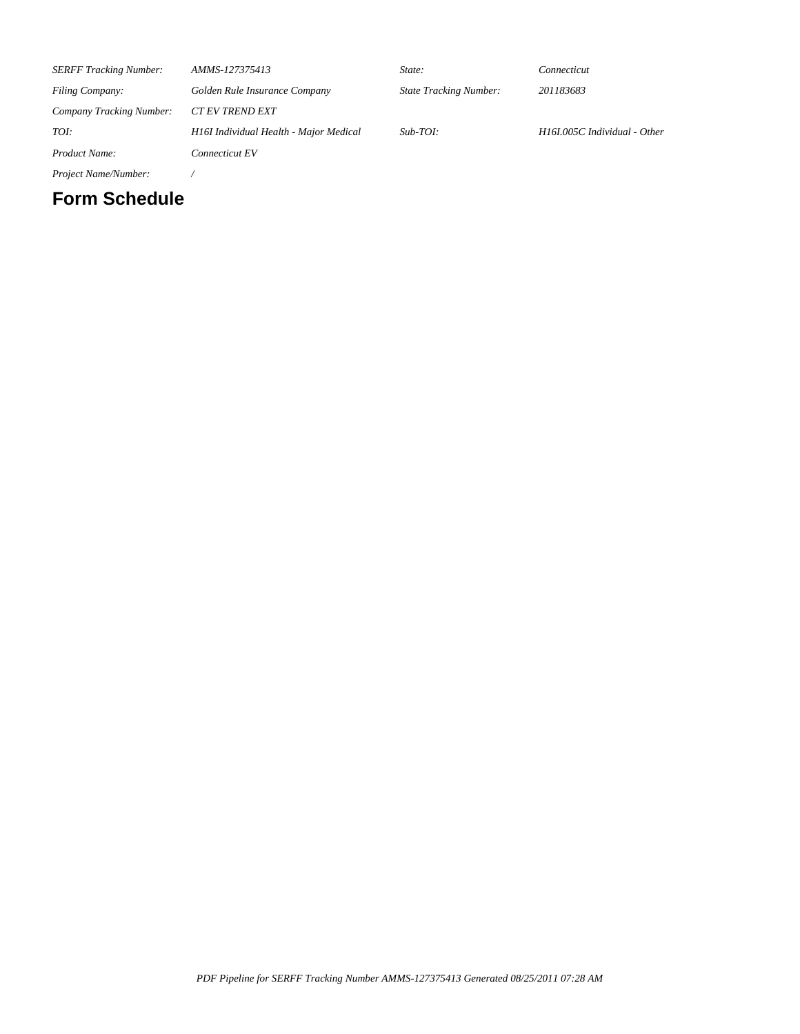| <b>SERFF Tracking Number:</b>   | AMMS-127375413                         | State:                        | Connecticut                  |
|---------------------------------|----------------------------------------|-------------------------------|------------------------------|
| <b>Filing Company:</b>          | Golden Rule Insurance Company          | <b>State Tracking Number:</b> | 201183683                    |
| <b>Company Tracking Number:</b> | <b>CT EV TREND EXT</b>                 |                               |                              |
| TOI:                            | H16I Individual Health - Major Medical | $Sub-TOI:$                    | H16I.005C Individual - Other |
| Product Name:                   | Connecticut EV                         |                               |                              |
|                                 |                                        |                               |                              |

*Project Name/Number: /*

### **Form Schedule**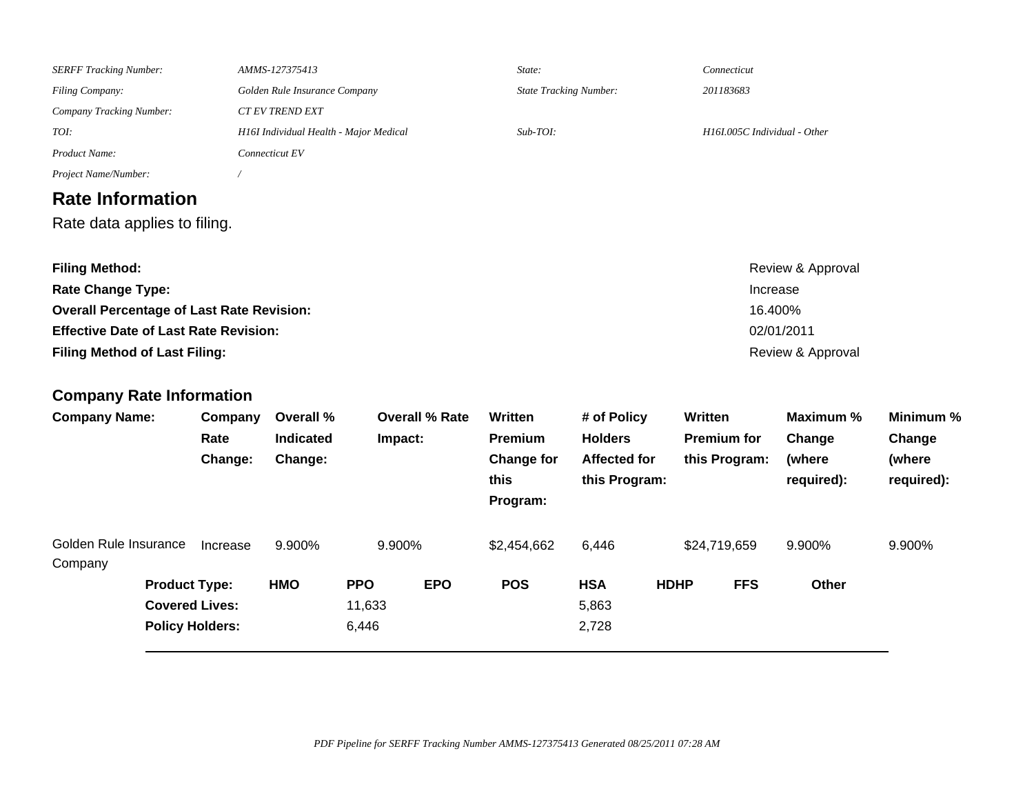| <b>SERFF Tracking Number:</b>                                                                                                                                                                                                    |                        |          | AMMS-127375413                         |            | State:                | Connecticut                           |                                      |             |                              |                                                      |                      |
|----------------------------------------------------------------------------------------------------------------------------------------------------------------------------------------------------------------------------------|------------------------|----------|----------------------------------------|------------|-----------------------|---------------------------------------|--------------------------------------|-------------|------------------------------|------------------------------------------------------|----------------------|
| Filing Company:                                                                                                                                                                                                                  |                        |          | Golden Rule Insurance Company          |            |                       | <b>State Tracking Number:</b>         |                                      | 201183683   |                              |                                                      |                      |
| Company Tracking Number:                                                                                                                                                                                                         |                        |          | CT EV TREND EXT                        |            |                       |                                       |                                      |             |                              |                                                      |                      |
| TOI:                                                                                                                                                                                                                             |                        |          | H16I Individual Health - Major Medical |            |                       | $Sub-TOI:$                            |                                      |             | H16I.005C Individual - Other |                                                      |                      |
| Product Name:                                                                                                                                                                                                                    |                        |          | Connecticut EV                         |            |                       |                                       |                                      |             |                              |                                                      |                      |
| Project Name/Number:                                                                                                                                                                                                             |                        |          |                                        |            |                       |                                       |                                      |             |                              |                                                      |                      |
| <b>Rate Information</b>                                                                                                                                                                                                          |                        |          |                                        |            |                       |                                       |                                      |             |                              |                                                      |                      |
| Rate data applies to filing.                                                                                                                                                                                                     |                        |          |                                        |            |                       |                                       |                                      |             |                              |                                                      |                      |
| <b>Filing Method:</b><br><b>Rate Change Type:</b><br><b>Overall Percentage of Last Rate Revision:</b><br><b>Effective Date of Last Rate Revision:</b><br><b>Filing Method of Last Filing:</b><br><b>Company Rate Information</b> |                        |          |                                        |            |                       |                                       |                                      |             | Increase<br>16.400%          | Review & Approval<br>02/01/2011<br>Review & Approval |                      |
| <b>Company Name:</b>                                                                                                                                                                                                             |                        | Company  | Overall %                              |            | <b>Overall % Rate</b> | Written                               | # of Policy                          | Written     |                              | Maximum %                                            | Minimum %            |
|                                                                                                                                                                                                                                  |                        | Rate     | Indicated                              |            | Impact:               | <b>Premium</b>                        | <b>Holders</b>                       |             | <b>Premium for</b>           | Change                                               | Change               |
|                                                                                                                                                                                                                                  |                        | Change:  | Change:                                |            |                       | <b>Change for</b><br>this<br>Program: | <b>Affected for</b><br>this Program: |             | this Program:                | (where<br>required):                                 | (where<br>required): |
| Golden Rule Insurance<br>Company                                                                                                                                                                                                 |                        | Increase | 9.900%                                 |            | 9.900%                | \$2,454,662                           | 6,446                                |             | \$24,719,659                 | 9.900%                                               | 9.900%               |
|                                                                                                                                                                                                                                  | <b>Product Type:</b>   |          | <b>HMO</b>                             | <b>PPO</b> | <b>EPO</b>            | <b>POS</b>                            | <b>HSA</b>                           | <b>HDHP</b> | <b>FFS</b>                   | Other                                                |                      |
|                                                                                                                                                                                                                                  | <b>Covered Lives:</b>  |          |                                        | 11,633     |                       |                                       | 5,863                                |             |                              |                                                      |                      |
|                                                                                                                                                                                                                                  | <b>Policy Holders:</b> |          |                                        | 6,446      |                       |                                       | 2,728                                |             |                              |                                                      |                      |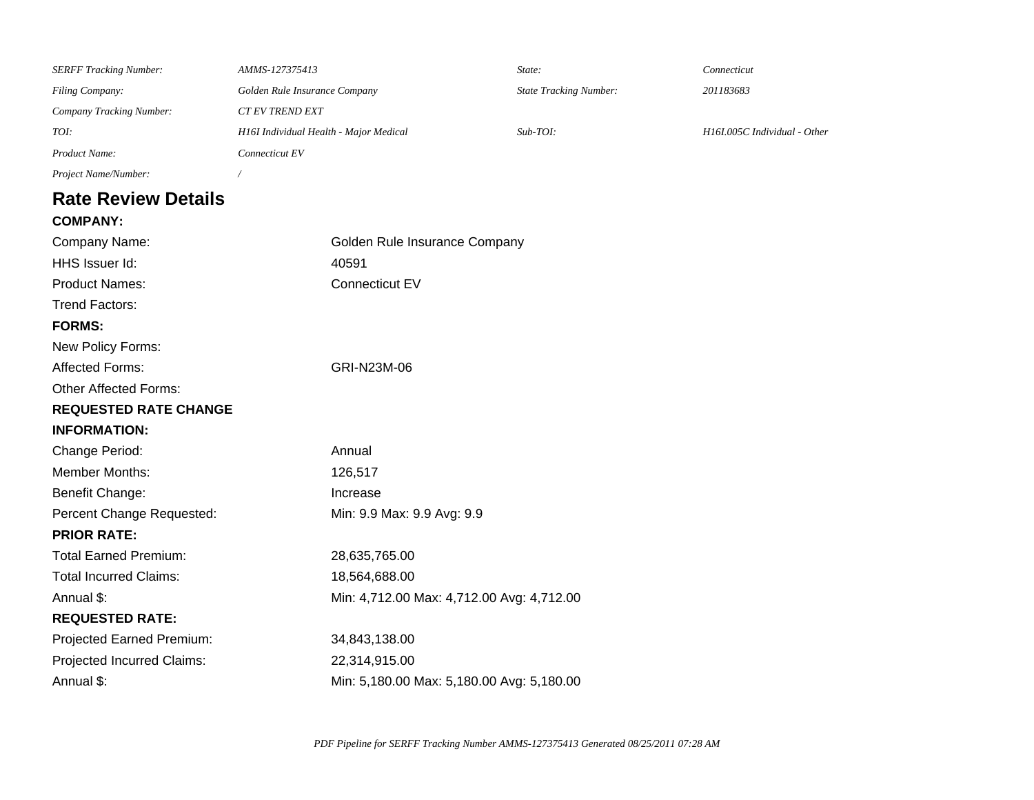| <b>SERFF Tracking Number:</b>                  | AMMS-127375413                         | State:                        | Connecticut                  |  |
|------------------------------------------------|----------------------------------------|-------------------------------|------------------------------|--|
| <b>Filing Company:</b>                         | Golden Rule Insurance Company          | <b>State Tracking Number:</b> | 201183683                    |  |
| <b>Company Tracking Number:</b>                | <b>CT EV TREND EXT</b>                 |                               |                              |  |
| TOI:                                           | H16I Individual Health - Major Medical | $Sub-TOI:$                    | H16I.005C Individual - Other |  |
| Product Name:                                  | Connecticut EV                         |                               |                              |  |
| Project Name/Number:                           |                                        |                               |                              |  |
| <b>Rate Review Details</b>                     |                                        |                               |                              |  |
| <b>COMPANY:</b>                                |                                        |                               |                              |  |
| Golden Rule Insurance Company<br>Company Name: |                                        |                               |                              |  |
| HHS Issuer Id:                                 | 40591                                  |                               |                              |  |
| <b>Product Names:</b>                          | Connecticut EV                         |                               |                              |  |

Trend Factors:

**FORMS:** 

New Policy Forms:

Affected Forms: GRI-N23M-06

### Other Affected Forms:

### **REQUESTED RATE CHANGE**

| <b>INFORMATION:</b> |  |
|---------------------|--|
|---------------------|--|

| Annual                                    |
|-------------------------------------------|
| 126,517                                   |
| Increase                                  |
| Min: 9.9 Max: 9.9 Avg: 9.9                |
|                                           |
| 28,635,765.00                             |
| 18,564,688.00                             |
| Min: 4,712.00 Max: 4,712.00 Avg: 4,712.00 |
|                                           |
| 34,843,138.00                             |
| 22,314,915.00                             |
|                                           |

Annual \$:  $\mu$  Min: 5,180.00 Max: 5,180.00 Avg: 5,180.00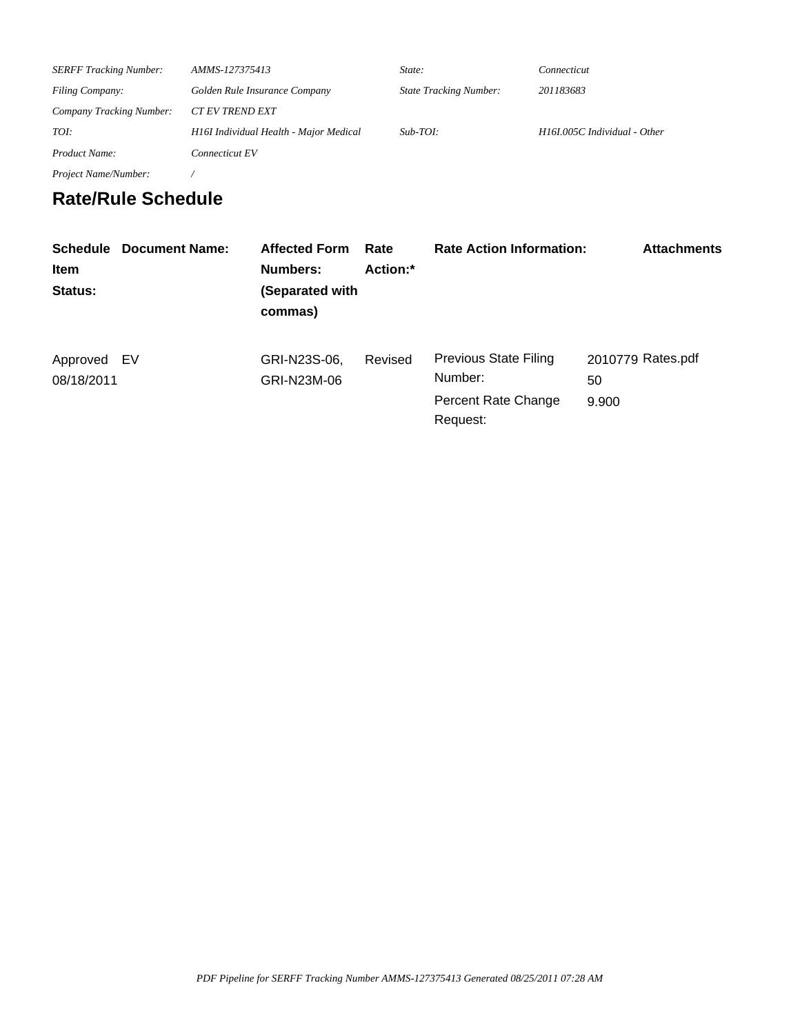| <b>SERFF Tracking Number:</b>   | AMMS-127375413                         | State:                        | Connecticut                  |
|---------------------------------|----------------------------------------|-------------------------------|------------------------------|
| <b>Filing Company:</b>          | Golden Rule Insurance Company          | <b>State Tracking Number:</b> | 201183683                    |
| <b>Company Tracking Number:</b> | <b>CT EV TREND EXT</b>                 |                               |                              |
| TOI:                            | H16I Individual Health - Major Medical | $Sub-TOI:$                    | H16I.005C Individual - Other |
| <b>Product Name:</b>            | Connecticut EV                         |                               |                              |
| Project Name/Number:            |                                        |                               |                              |

# **Rate/Rule Schedule**

| <b>Item</b><br>Status:    | <b>Schedule Document Name:</b> | <b>Affected Form</b><br>Numbers:<br>(Separated with<br>commas) | Rate<br>Action:* | <b>Rate Action Information:</b>                                            | <b>Attachments</b>               |
|---------------------------|--------------------------------|----------------------------------------------------------------|------------------|----------------------------------------------------------------------------|----------------------------------|
| Approved EV<br>08/18/2011 |                                | GRI-N23S-06,<br>GRI-N23M-06                                    | Revised          | <b>Previous State Filing</b><br>Number:<br>Percent Rate Change<br>Request: | 2010779 Rates.pdf<br>50<br>9.900 |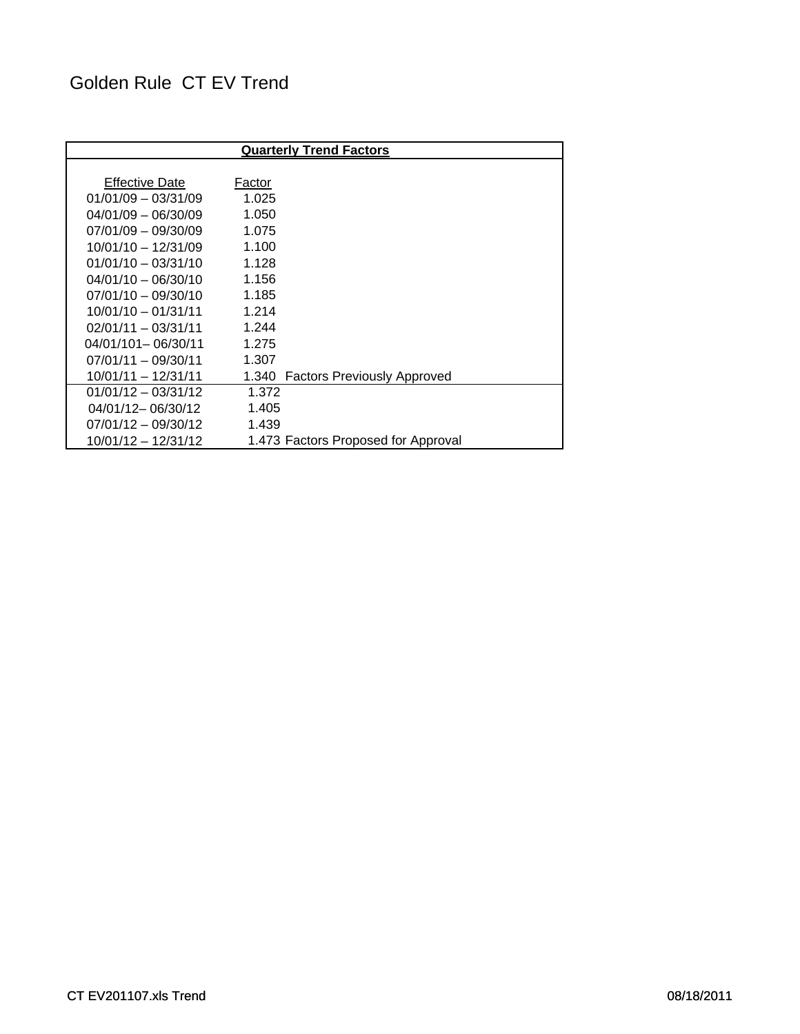# Golden Rule CT EV Trend

| <b>Quarterly Trend Factors</b> |                                     |  |  |  |  |  |  |  |
|--------------------------------|-------------------------------------|--|--|--|--|--|--|--|
|                                |                                     |  |  |  |  |  |  |  |
| <b>Effective Date</b>          | Factor                              |  |  |  |  |  |  |  |
| $01/01/09 - 03/31/09$          | 1.025                               |  |  |  |  |  |  |  |
| $04/01/09 - 06/30/09$          | 1.050                               |  |  |  |  |  |  |  |
| $07/01/09 - 09/30/09$          | 1.075                               |  |  |  |  |  |  |  |
| $10/01/10 - 12/31/09$          | 1.100                               |  |  |  |  |  |  |  |
| $01/01/10 - 03/31/10$          | 1.128                               |  |  |  |  |  |  |  |
| $04/01/10 - 06/30/10$          | 1.156                               |  |  |  |  |  |  |  |
| $07/01/10 - 09/30/10$          | 1.185                               |  |  |  |  |  |  |  |
| $10/01/10 - 01/31/11$          | 1.214                               |  |  |  |  |  |  |  |
| $02/01/11 - 03/31/11$          | 1.244                               |  |  |  |  |  |  |  |
| $04/01/101 - 06/30/11$         | 1.275                               |  |  |  |  |  |  |  |
| $07/01/11 - 09/30/11$          | 1.307                               |  |  |  |  |  |  |  |
| $10/01/11 - 12/31/11$          | 1.340 Factors Previously Approved   |  |  |  |  |  |  |  |
| $01/01/12 - 03/31/12$          | 1.372                               |  |  |  |  |  |  |  |
| 04/01/12-06/30/12              | 1.405                               |  |  |  |  |  |  |  |
| $07/01/12 - 09/30/12$          | 1.439                               |  |  |  |  |  |  |  |
| 10/01/12 - 12/31/12            | 1.473 Factors Proposed for Approval |  |  |  |  |  |  |  |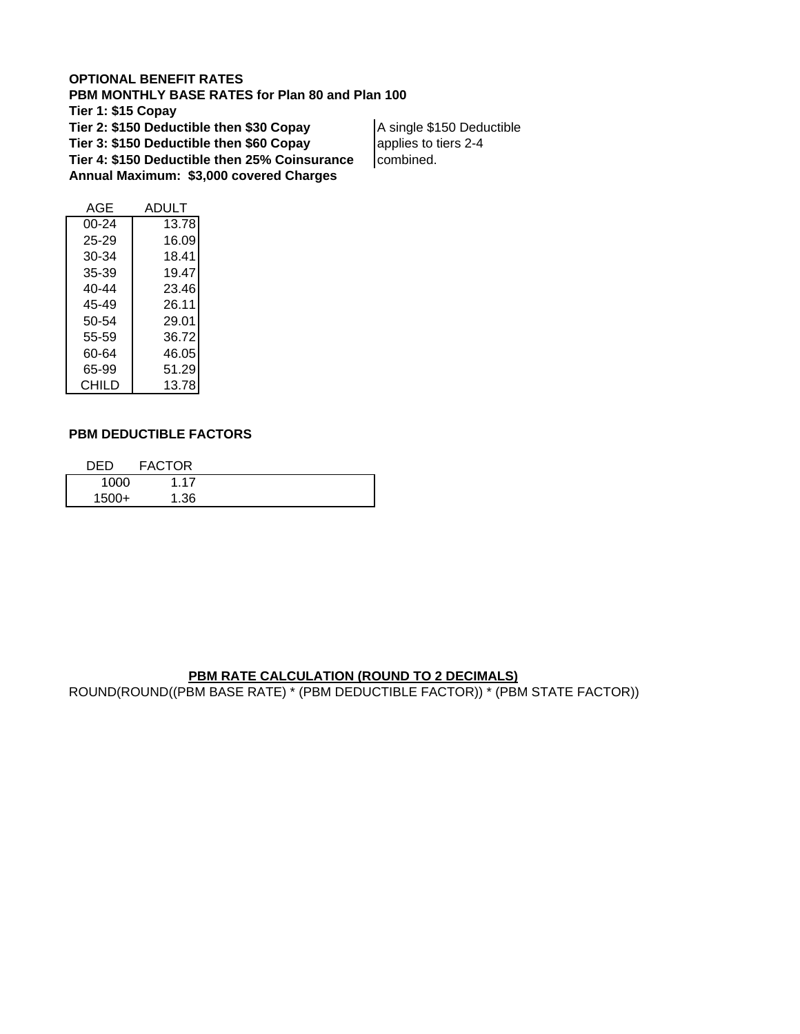#### **OPTIONAL BENEFIT RATES**

**PBM MONTHLY BASE RATES for Plan 80 and Plan 100 Tier 1: \$15 Copay Tier 2: \$150 Deductible then \$30 Copay** A single \$150 Deductible **Tier 3: \$150 Deductible then \$60 Copay a** applies to tiers 2-4 **Tier 4: \$150 Deductible then 25% Coinsurance** combined. **Annual Maximum: \$3,000 covered Charges**

| AGE       | ADULT |
|-----------|-------|
| 00-24     | 13.78 |
| 25-29     | 16.09 |
| 30-34     | 18.41 |
| 35-39     | 19.47 |
| $40 - 44$ | 23.46 |
| 45-49     | 26.11 |
| 50-54     | 29.01 |
| 55-59     | 36.72 |
| 60-64     | 46.05 |
| 65-99     | 51.29 |
| CHILD     | 13.78 |

#### **PBM DEDUCTIBLE FACTORS**

| DED   | <b>FACTOR</b> |  |
|-------|---------------|--|
| 1000  | 1.17          |  |
| 1500+ | 1.36          |  |

#### **PBM RATE CALCULATION (ROUND TO 2 DECIMALS)**

ROUND(ROUND((PBM BASE RATE) \* (PBM DEDUCTIBLE FACTOR)) \* (PBM STATE FACTOR))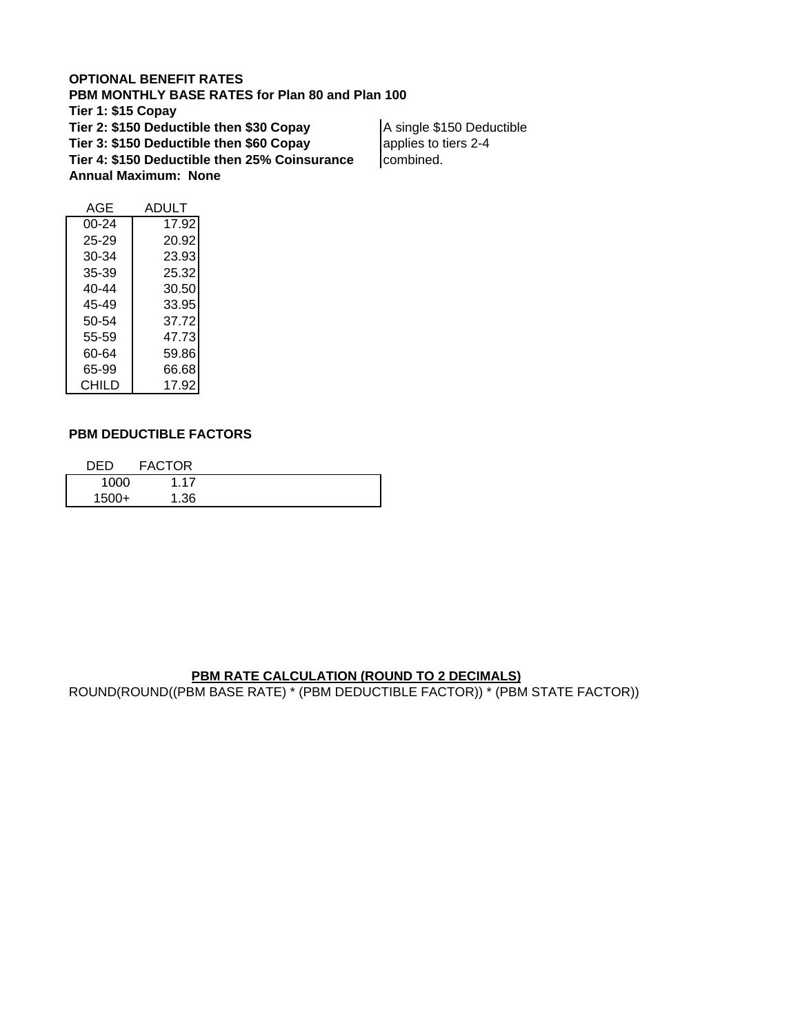#### **OPTIONAL BENEFIT RATES**

**PBM MONTHLY BASE RATES for Plan 80 and Plan 100 Tier 1: \$15 Copay Tier 2: \$150 Deductible then \$30 Copay** | A single \$150 Deductible **Tier 3: \$150 Deductible then \$60 Copay** applies to tiers 2-4 **Tier 4: \$150 Deductible then 25% Coinsurance** combined.

**Annual Maximum: None**

| AGE   | ADULT |
|-------|-------|
| 00-24 | 17.92 |
| 25-29 | 20.92 |
| 30-34 | 23.93 |
| 35-39 | 25.32 |
| 40-44 | 30.50 |
| 45-49 | 33.95 |
| 50-54 | 37.72 |
| 55-59 | 47.73 |
| 60-64 | 59.86 |
| 65-99 | 66.68 |
| CHILD | 17.92 |

#### **PBM DEDUCTIBLE FACTORS**

| DFD   | <b>FACTOR</b> |  |
|-------|---------------|--|
| 1000  | 1.17          |  |
| 1500+ | 1.36          |  |

#### **PBM RATE CALCULATION (ROUND TO 2 DECIMALS)**

ROUND(ROUND((PBM BASE RATE) \* (PBM DEDUCTIBLE FACTOR)) \* (PBM STATE FACTOR))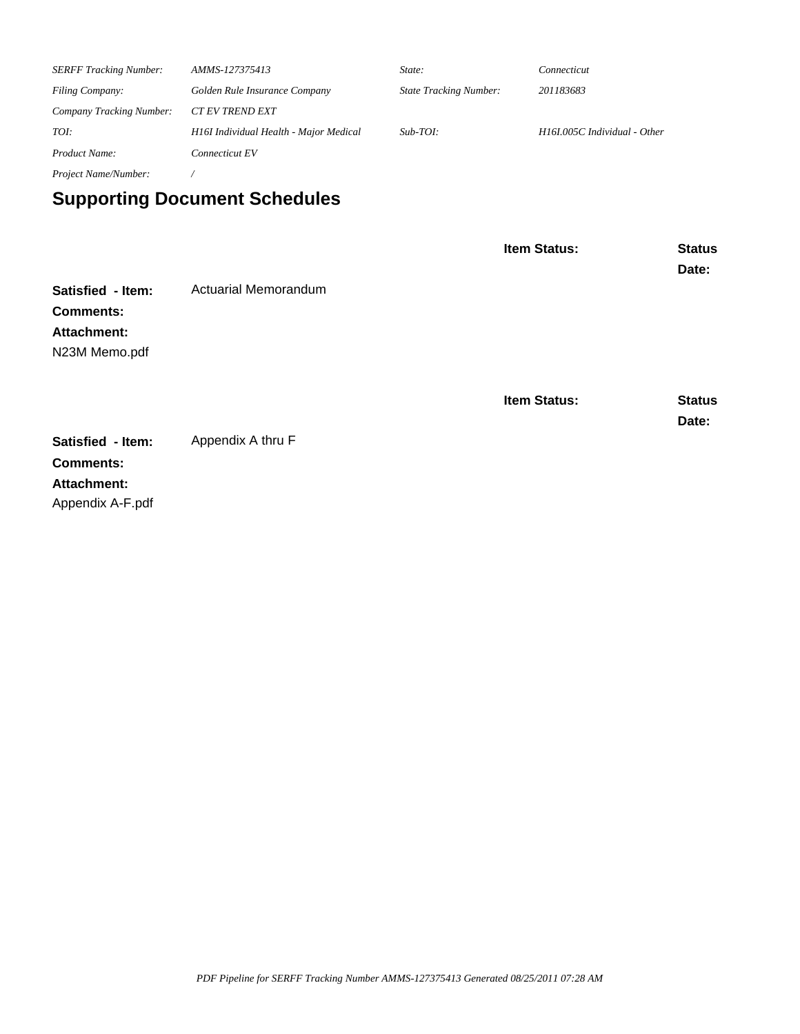| <b>SERFF Tracking Number:</b> | AMMS-127375413                         | State:                        | Connecticut                  |  |  |  |
|-------------------------------|----------------------------------------|-------------------------------|------------------------------|--|--|--|
| <b>Filing Company:</b>        | Golden Rule Insurance Company          | <b>State Tracking Number:</b> | 201183683                    |  |  |  |
| Company Tracking Number:      | <b>CT EV TREND EXT</b>                 |                               |                              |  |  |  |
| TOI:                          | H16I Individual Health - Major Medical | $Sub-TOI:$                    | H16I.005C Individual - Other |  |  |  |
| Product Name:                 | Connecticut EV                         |                               |                              |  |  |  |
| <i>Project Name/Number:</i>   |                                        |                               |                              |  |  |  |

# **Supporting Document Schedules**

|                    |                             | Item Status:        | <b>Status</b><br>Date: |
|--------------------|-----------------------------|---------------------|------------------------|
| Satisfied - Item:  | <b>Actuarial Memorandum</b> |                     |                        |
| <b>Comments:</b>   |                             |                     |                        |
| Attachment:        |                             |                     |                        |
| N23M Memo.pdf      |                             | <b>Item Status:</b> | <b>Status</b><br>Date: |
| Satisfied - Item:  | Appendix A thru F           |                     |                        |
| <b>Comments:</b>   |                             |                     |                        |
| <b>Attachment:</b> |                             |                     |                        |
| Appendix A-F.pdf   |                             |                     |                        |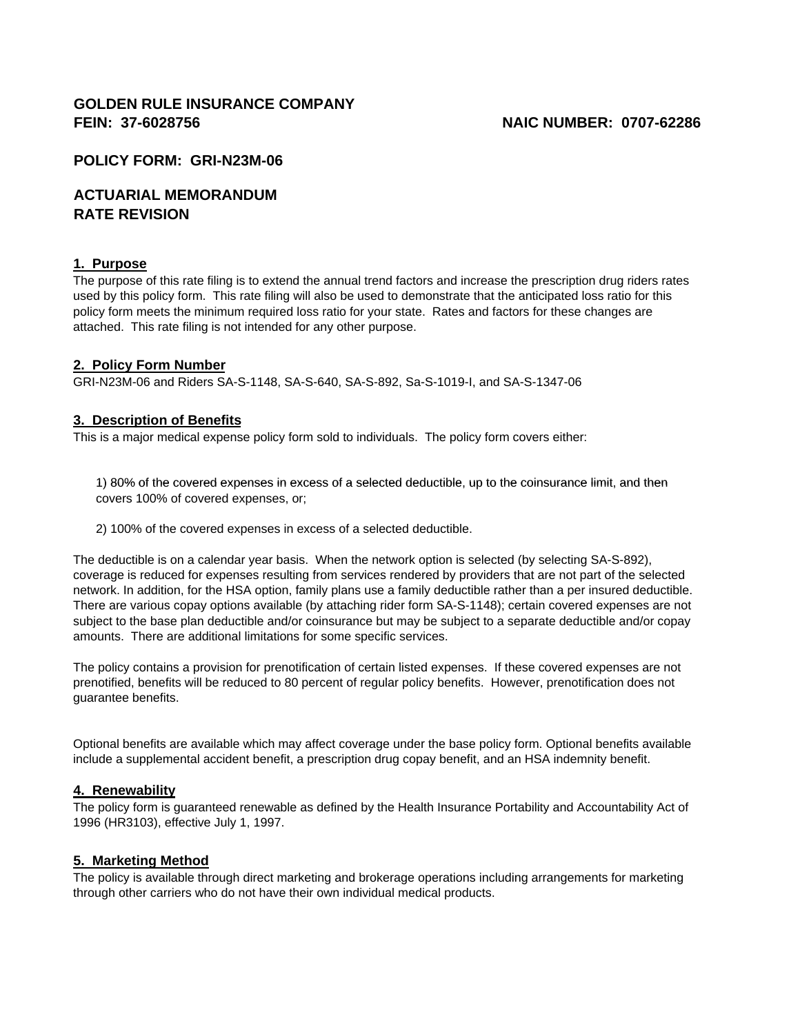#### **GOLDEN RULE INSURANCE COMPANY FEIN: 37-6028756 NAIC NUMBER: 0707-62286**

#### **POLICY FORM: GRI-N23M-06**

#### **ACTUARIAL MEMORANDUM RATE REVISION**

#### **1. Purpose**

The purpose of this rate filing is to extend the annual trend factors and increase the prescription drug riders rates used by this policy form. This rate filing will also be used to demonstrate that the anticipated loss ratio for this policy form meets the minimum required loss ratio for your state. Rates and factors for these changes are attached. This rate filing is not intended for any other purpose.

#### **2. Policy Form Number**

GRI-N23M-06 and Riders SA-S-1148, SA-S-640, SA-S-892, Sa-S-1019-I, and SA-S-1347-06

#### **3. Description of Benefits**

This is a major medical expense policy form sold to individuals. The policy form covers either:

1) 80% of the covered expenses in excess of a selected deductible, up to the coinsurance limit, and then covers 100% of covered expenses, or;

2) 100% of the covered expenses in excess of a selected deductible.

The deductible is on a calendar year basis. When the network option is selected (by selecting SA-S-892), coverage is reduced for expenses resulting from services rendered by providers that are not part of the selected network. In addition, for the HSA option, family plans use a family deductible rather than a per insured deductible. There are various copay options available (by attaching rider form SA-S-1148); certain covered expenses are not subject to the base plan deductible and/or coinsurance but may be subject to a separate deductible and/or copay amounts. There are additional limitations for some specific services.

The policy contains a provision for prenotification of certain listed expenses. If these covered expenses are not prenotified, benefits will be reduced to 80 percent of regular policy benefits. However, prenotification does not guarantee benefits.

Optional benefits are available which may affect coverage under the base policy form. Optional benefits available include a supplemental accident benefit, a prescription drug copay benefit, and an HSA indemnity benefit.

#### **4. Renewability**

The policy form is guaranteed renewable as defined by the Health Insurance Portability and Accountability Act of 1996 (HR3103), effective July 1, 1997.

#### **5. Marketing Method**

The policy is available through direct marketing and brokerage operations including arrangements for marketing through other carriers who do not have their own individual medical products.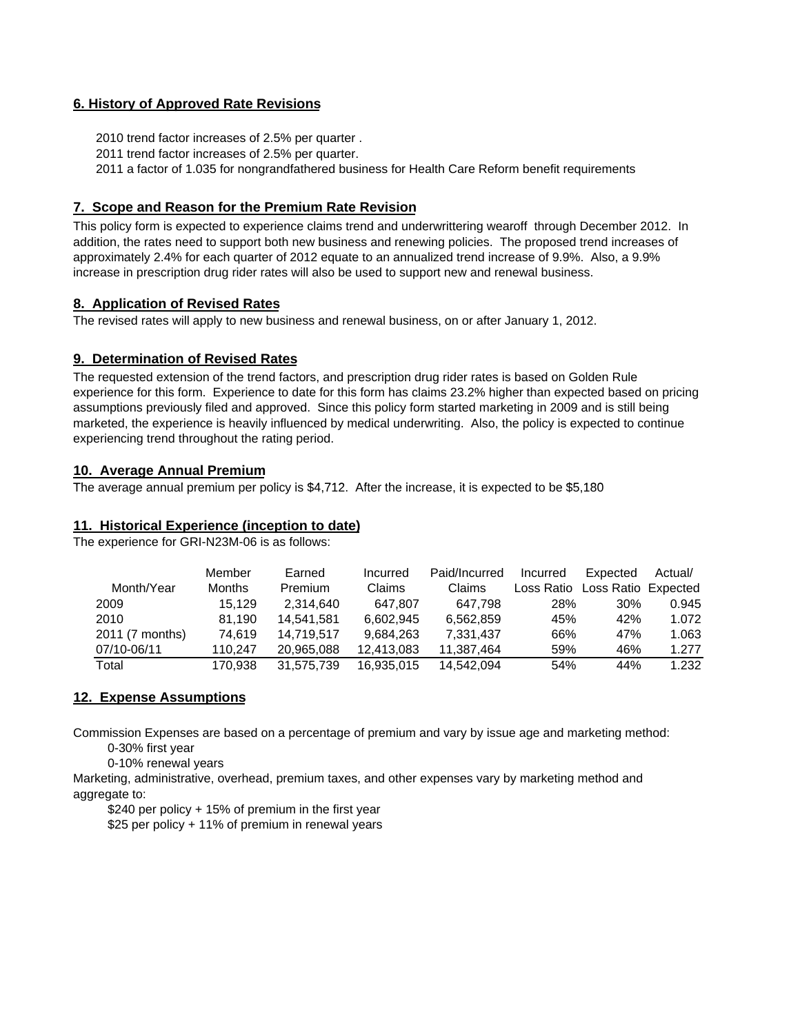#### **6. History of Approved Rate Revisions**

2010 trend factor increases of 2.5% per quarter .

2011 trend factor increases of 2.5% per quarter.

2011 a factor of 1.035 for nongrandfathered business for Health Care Reform benefit requirements

#### **7. Scope and Reason for the Premium Rate Revision**

This policy form is expected to experience claims trend and underwrittering wearoff through December 2012. In addition, the rates need to support both new business and renewing policies. The proposed trend increases of approximately 2.4% for each quarter of 2012 equate to an annualized trend increase of 9.9%. Also, a 9.9% increase in prescription drug rider rates will also be used to support new and renewal business.

#### **8. Application of Revised Rates**

The revised rates will apply to new business and renewal business, on or after January 1, 2012.

#### **9. Determination of Revised Rates**

The requested extension of the trend factors, and prescription drug rider rates is based on Golden Rule experience for this form. Experience to date for this form has claims 23.2% higher than expected based on pricing assumptions previously filed and approved. Since this policy form started marketing in 2009 and is still being marketed, the experience is heavily influenced by medical underwriting. Also, the policy is expected to continue experiencing trend throughout the rating period.

#### **10. Average Annual Premium**

The average annual premium per policy is \$4,712. After the increase, it is expected to be \$5,180

#### **11. Historical Experience (inception to date)**

The experience for GRI-N23M-06 is as follows:

|                 | Member        | Earned         | Incurred   | Paid/Incurred | Incurred   | Expected            | Actual/ |
|-----------------|---------------|----------------|------------|---------------|------------|---------------------|---------|
| Month/Year      | <b>Months</b> | <b>Premium</b> | Claims     | Claims        | Loss Ratio | Loss Ratio Expected |         |
| 2009            | 15.129        | 2.314.640      | 647.807    | 647.798       | 28%        | $30\%$              | 0.945   |
| 2010            | 81.190        | 14,541,581     | 6.602.945  | 6,562,859     | 45%        | 42%                 | 1.072   |
| 2011 (7 months) | 74.619        | 14.719.517     | 9.684.263  | 7.331.437     | 66%        | 47%                 | 1.063   |
| 07/10-06/11     | 110.247       | 20,965,088     | 12,413,083 | 11,387,464    | 59%        | 46%                 | 1.277   |
| Total           | 170.938       | 31.575.739     | 16,935,015 | 14,542,094    | 54%        | 44%                 | 1.232   |

#### **12. Expense Assumptions**

Commission Expenses are based on a percentage of premium and vary by issue age and marketing method: 0-30% first year

0-10% renewal years

Marketing, administrative, overhead, premium taxes, and other expenses vary by marketing method and aggregate to:

\$240 per policy + 15% of premium in the first year

\$25 per policy + 11% of premium in renewal years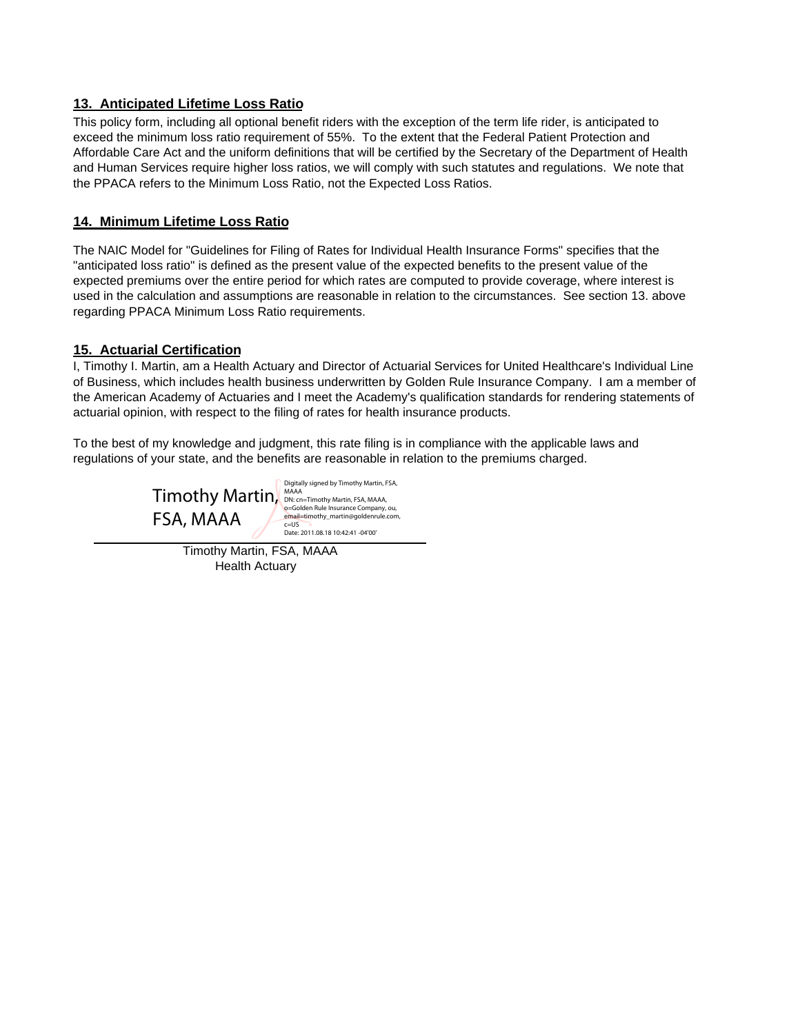#### **13. Anticipated Lifetime Loss Ratio**

This policy form, including all optional benefit riders with the exception of the term life rider, is anticipated to exceed the minimum loss ratio requirement of 55%. To the extent that the Federal Patient Protection and Affordable Care Act and the uniform definitions that will be certified by the Secretary of the Department of Health and Human Services require higher loss ratios, we will comply with such statutes and regulations. We note that the PPACA refers to the Minimum Loss Ratio, not the Expected Loss Ratios.

#### **14. Minimum Lifetime Loss Ratio**

The NAIC Model for "Guidelines for Filing of Rates for Individual Health Insurance Forms" specifies that the "anticipated loss ratio" is defined as the present value of the expected benefits to the present value of the expected premiums over the entire period for which rates are computed to provide coverage, where interest is used in the calculation and assumptions are reasonable in relation to the circumstances. See section 13. above regarding PPACA Minimum Loss Ratio requirements.

#### **15. Actuarial Certification**

I, Timothy I. Martin, am a Health Actuary and Director of Actuarial Services for United Healthcare's Individual Line of Business, which includes health business underwritten by Golden Rule Insurance Company. I am a member of the American Academy of Actuaries and I meet the Academy's qualification standards for rendering statements of actuarial opinion, with respect to the filing of rates for health insurance products.

To the best of my knowledge and judgment, this rate filing is in compliance with the applicable laws and regulations of your state, and the benefits are reasonable in relation to the premiums charged.



Digitally signed by Timothy Martin, FSA, o=Golden Rule Insurance Company, ou, email=timothy\_martin@goldenrule.com, c=US Date: 2011.08.18 10:42:41 -04'00'

Timothy Martin, FSA, MAAA Health Actuary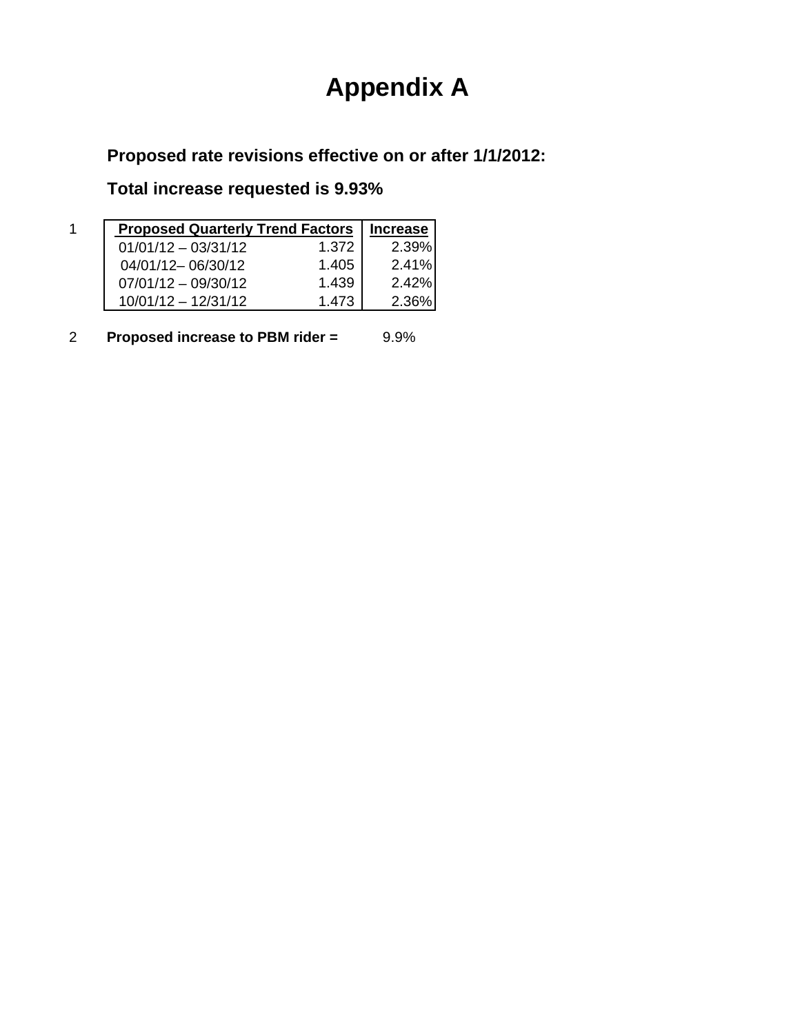# **Appendix A**

**Proposed rate revisions effective on or after 1/1/2012:**

**Total increase requested is 9.93%**

| <b>Proposed Quarterly Trend Factors</b> |       | <b>Increase</b> |
|-----------------------------------------|-------|-----------------|
| $01/01/12 - 03/31/12$                   | 1.372 | 2.39%           |
| 04/01/12-06/30/12                       | 1.405 | 2.41%           |
| $07/01/12 - 09/30/12$                   | 1.439 | 2.42%           |
| $10/01/12 - 12/31/12$                   | 1.473 | 2.36%           |

2 **Proposed increase to PBM rider =** 9.9%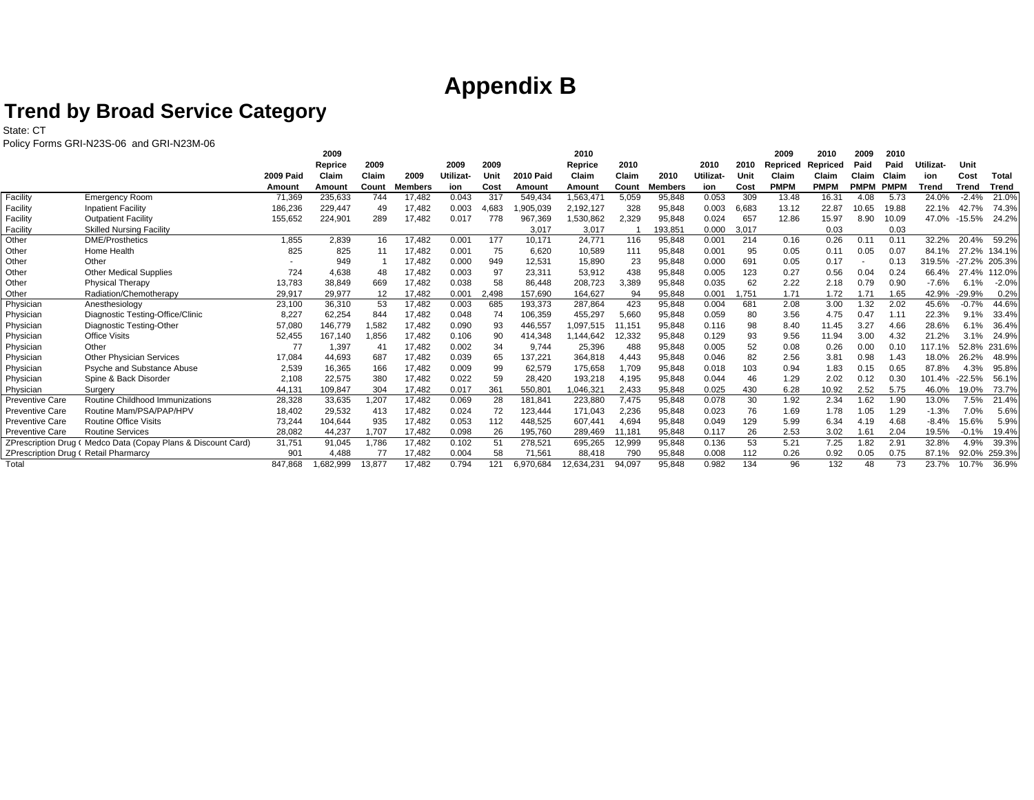# **Appendix B**

### **Trend by Broad Service Category**

State: CT

Policy Forms GRI-N23S-06 and GRI-N23M-06

|                                      | POIICY FORMS GRI-N23S-06 and GRI-N23M-06                     |                   |                    |              |                  |              |             |                     |                   |              |                  |              |             |                   |                      |                      |               |                 |                  |                |
|--------------------------------------|--------------------------------------------------------------|-------------------|--------------------|--------------|------------------|--------------|-------------|---------------------|-------------------|--------------|------------------|--------------|-------------|-------------------|----------------------|----------------------|---------------|-----------------|------------------|----------------|
|                                      |                                                              |                   | 2009               | 2009         |                  | 2009         | 2009        |                     | 2010              | 2010         |                  | 2010         | 2010        | 2009              | 2010                 | 2009<br>Paid         | 2010<br>Paid  | <b>Utilizat</b> | Unit             |                |
|                                      |                                                              | <b>2009 Paid</b>  | Reprice<br>Claim   | Claim        | 2009             |              | Unit        | <b>2010 Paid</b>    | Reprice<br>Claim  | Claim        | 2010             | Utilizat-    | Unit        | Repriced<br>Claim | Repriced             |                      | Claim         |                 | Cost             | Total          |
|                                      |                                                              |                   |                    |              |                  | Utilizat     |             |                     |                   |              |                  |              |             | <b>PMPM</b>       | Claim<br><b>PMPM</b> | Claim<br><b>PMPM</b> | <b>PMPN</b>   | ion             |                  |                |
|                                      |                                                              | Amount            | Amoun              | Count<br>744 | Members          | ion<br>0.043 | Cost<br>317 | Amount              | Amoun<br>1.563.47 | Count        | Members          | ion<br>0.053 | Cost<br>309 |                   |                      | 4.08                 |               | Trend<br>24.0%  | Trend<br>$-2.4%$ | Trend<br>21.0% |
| Facility<br>Facility                 | <b>Emergency Room</b><br><b>Inpatient Facility</b>           | 71.369<br>186,236 | 235,633<br>229,447 | 49           | 17,482<br>17,482 | 0.003        | 4,683       | 549.434<br>,905,039 | 2,192,127         | 5,059<br>328 | 95,848<br>95,848 | 0.003        | 6,683       | 13.48<br>13.12    | 16.31<br>22.87       | 10.65                | 5.73<br>19.88 | 22.1%           | 42.7%            | 74.3%          |
| Facility                             | <b>Outpatient Facility</b>                                   | 155,652           | 224,901            | 289          | 17,482           | 0.017        | 778         | 967,369             | .530,862          | 2,329        | 95,848           | 0.024        | 657         | 12.86             | 15.97                | 8.90                 | 10.09         | 47.0%           | $-15.5%$         | 24.2%          |
| Facility                             | <b>Skilled Nursing Facility</b>                              |                   |                    |              |                  |              |             | 3.017               | 3,017             |              | 193.85'          | 0.000        | 3,017       |                   | 0.03                 |                      | 0.03          |                 |                  |                |
| Other                                | <b>DME/Prosthetics</b>                                       | 1,855             | 2,839              | 16           | 17,482           | 0.001        | 177         | 10,171              | 24,771            | 116          | 95,848           | 0.001        | 214         | 0.16              | 0.26                 | 0.11                 | 0.11          | 32.2%           | 20.4%            | 59.2%          |
| Other                                | Home Health                                                  | 825               | 825                | 11           | 17,482           | 0.001        | 75          | 6,620               | 10,589            | 111          | 95,848           | 0.001        | 95          | 0.05              | 0.11                 | 0.05                 | 0.07          | 84.1%           | 27.2%            | 134.1%         |
| Other                                | Other                                                        |                   | 949                |              | 17,482           | 0.000        | 949         | 12,531              | 15,890            | 23           | 95,848           | 0.000        | 691         | 0.05              | 0.17                 |                      | 0.13          | 319.5%          | $-27.2%$         | 205.3%         |
| Other                                | <b>Other Medical Supplies</b>                                | 724               | 4,638              | 48           | 17,482           | 0.003        | 97          | 23,311              | 53,912            | 438          | 95,848           | 0.005        | 123         | 0.27              | 0.56                 | 0.04                 | 0.24          | 66.4%           | 27.4%            | 112.0%         |
| Other                                | Physical Therapy                                             | 13,783            | 38,849             | 669          | 17,482           | 0.038        | 58          | 86,448              | 208,723           | 3,389        | 95,848           | 0.035        | 62          | 2.22              | 2.18                 | 0.79                 | 0.90          | $-7.6%$         | 6.1%             | $-2.0%$        |
| Other                                | Radiation/Chemotherapy                                       | 29,917            | 29,977             | 12           | 17,482           | 0.001        | 2,498       | 157,690             | 164.627           | 94           | 95,848           | 0.001        | 1,751       | 1.71              | 1.72                 | 1.71                 | 1.65          | 42.9%           | -29.9%           | 0.2%           |
| Physician                            | Anesthesiology                                               | 23,100            | 36,310             | 53           | 17.482           | 0.003        | 685         | 193,373             | 287.864           | 423          | 95,848           | 0.004        | 681         | 2.08              | 3.00                 | 1.32                 | 2.02          | 45.6%           | $-0.7%$          | 44.6%          |
| Physician                            | Diagnostic Testing-Office/Clinic                             | 8.227             | 62,254             | 844          | 17,482           | 0.048        | 74          | 106.359             | 455.297           | 5.660        | 95.848           | 0.059        | 80          | 3.56              | 4.75                 | 0.47                 | 1.11          | 22.3%           | 9.1%             | 33.49          |
| Physician                            | Diagnostic Testing-Other                                     | 57.080            | 146,779            | 1,582        | 17,482           | 0.090        | 93          | 446,557             | ,097,515          | 11.151       | 95.848           | 0.116        | 98          | 8.40              | 11.45                | 3.27                 | 4.66          | 28.6%           | 6.1%             | 36.4%          |
| Physician                            | <b>Office Visits</b>                                         | 52,455            | 167,140            | 1,856        | 17,482           | 0.106        | 90          | 414,348             | 1,144,642         | 12,332       | 95,848           | 0.129        | 93          | 9.56              | 11.94                | 3.00                 | 4.32          | 21.2%           | 3.1%             | 24.9%          |
| Physician                            | Other                                                        | 77                | 1,397              | $\mathbf{4}$ | 17,482           | 0.002        | 34          | 9.744               | 25,396            | 488          | 95.848           | 0.005        | 52          | 0.08              | 0.26                 | 0.00                 | 0.10          | 17.1%           | 52.8%            | 231.69         |
| Physician                            | <b>Other Physician Services</b>                              | 17.084            | 44,693             | 687          | 17,482           | 0.039        | 65          | 137,221             | 364.818           | 4.443        | 95.848           | 0.046        | 82          | 2.56              | 3.81                 | 0.98                 | 1.43          | 18.0%           | 26.2%            | 48.9%          |
| Physician                            | Psyche and Substance Abuse                                   | 2.539             | 16,365             | 166          | 17,482           | 0.009        | 99          | 62,579              | 175,658           | 1.709        | 95.848           | 0.018        | 103         | 0.94              | 1.83                 | 0.15                 | 0.65          | 87.8%           | 4.3%             | 95.8%          |
| Physician                            | Spine & Back Disorder                                        | 2.108             | 22,575             | 380          | 17.482           | 0.022        | 59          | 28.420              | 193.218           | 4.195        | 95.848           | 0.044        | 46          | 1.29              | 2.02                 | 0.12                 | 0.30          | 101.4%          | $-22.5%$         | 56.1%          |
| Physician                            | Surgery                                                      | 44,131            | 109,847            | 304          | 17,482           | 0.017        | 361         | 550,801             | ,046,321          | 2,433        | 95,848           | 0.025        | 430         | 6.28              | 10.92                | 2.52                 | 5.75          | 46.0%           | 19.0%            | 73.7%          |
| <b>Preventive Care</b>               | Routine Childhood Immunizations                              | 28,328            | 33,635             | 1,207        | 17,482           | 0.069        | 28          | 181,841             | 223,880           | 7,475        | 95,848           | 0.078        | 30          | 1.92              | 2.34                 | 1.62                 | 1.90          | 13.0%           | 7.5%             | 21.4%          |
| <b>Preventive Care</b>               | Routine Mam/PSA/PAP/HPV                                      | 18.402            | 29,532             | 413          | 17,482           | 0.024        | 72          | 123.444             | 171.043           | 2,236        | 95,848           | 0.023        | 76          | 1.69              | 1.78                 | 1.05                 | 1.29          | $-1.3%$         | 7.0%             | 5.6%           |
| <b>Preventive Care</b>               | <b>Routine Office Visits</b>                                 | 73.244            | 104,644            | 935          | 17,482           | 0.053        | 112         | 448,525             | 607.441           | 4,694        | 95.848           | 0.049        | 129         | 5.99              | 6.34                 | 4.19                 | 4.68          | $-8.4%$         | 15.6%            | 5.9%           |
| <b>Preventive Care</b>               | <b>Routine Services</b>                                      | 28,082            | 44,237             | 1,707        | 17,482           | 0.098        | 26          | 195,760             | 289,469           | 11,181       | 95,848           | 0.117        | 26          | 2.53              | 3.02                 | 1.61                 | 2.04          | 19.5%           | $-0.1%$          | 19.4%          |
|                                      | ZPrescription Drug (Medco Data (Copay Plans & Discount Card) | 31,751            | 91,045             | 1,786        | 17,482           | 0.102        | 51          | 278,521             | 695,265           | 12,999       | 95,848           | 0.136        | 53          | 5.21              | 7.25                 | 1.82                 | 2.91          | 32.8%           | 4.9%             | 39.3%          |
| ZPrescription Drug (Retail Pharmarcy |                                                              | 901               | 4,488              | 77           | 17,482           | 0.004        | 58          | 71,561              | 88,418            | 790          | 95,848           | 0.008        | 112         | 0.26              | 0.92                 | 0.05                 | 0.75          | 87.1%           | 92.0%            | 259.3%         |
| Total                                |                                                              | 847.868           | ,682,999           | 3,877        | 17,482           | 0.794        | 121         | 6.970.684           | 12,634,231        | 94,097       | 95,848           | 0.982        | 134         | 96                | 132                  | 48                   | 73            | 23.7%           | 10.7%            | 36.9%          |
|                                      |                                                              |                   |                    |              |                  |              |             |                     |                   |              |                  |              |             |                   |                      |                      |               |                 |                  |                |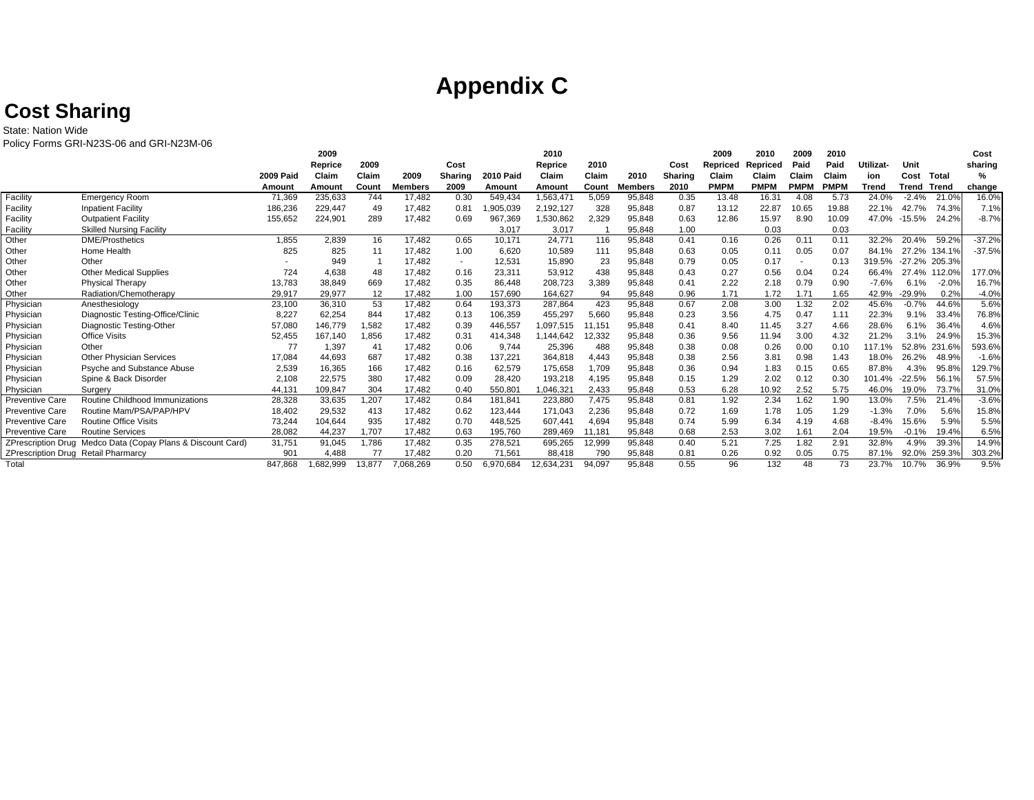# **Appendix C**

# **Cost Sharing**

State: Nation Wide

Policy Forms GRI-N23S-06 and GRI-N23M-06

| PUIICY FUITIIS UNFIVESS-00 AND UNFIVESIVE OU |                                                             |                  |          |        |         |         |                  |            |        |                |                |             |             |             |             |           |                |         |          |
|----------------------------------------------|-------------------------------------------------------------|------------------|----------|--------|---------|---------|------------------|------------|--------|----------------|----------------|-------------|-------------|-------------|-------------|-----------|----------------|---------|----------|
|                                              |                                                             |                  | 2009     |        |         |         |                  | 2010       |        |                |                | 2009        | 2010        | 2009        | 2010        |           |                |         | Cost     |
|                                              |                                                             |                  | Reprice  | 2009   |         | Cost    |                  | Reprice    | 2010   |                | Cost           | Repriced    | Repriced    | Paid        | Paid        | Utilizat- | Unit           |         | sharing  |
|                                              |                                                             | <b>2009 Paid</b> | Claim    | Claim  | 2009    | Sharing | <b>2010 Paid</b> | Claim      | Claim  | 2010           | <b>Sharing</b> | Claim       | Claim       | Claim       | Claim       | ion       | Cost           | Total   | %        |
|                                              |                                                             | Amount           | Amount   | Count  | Members | 2009    | Amount           | Amount     | Count  | <b>Members</b> | 2010           | <b>PMPM</b> | <b>PMPM</b> | <b>PMPM</b> | <b>PMPM</b> | Trend     | Trend          | Trend   | change   |
| Facility                                     | Emergency Room                                              | 71,369           | 235,633  | 744    | 17.482  | 0.30    | 549.434          | 1,563,471  | 5,059  | 95.848         | 0.35           | 13.48       | 16.31       | 4.08        | 5.73        | 24.0%     | $-2.4%$        | 21.0%   | 16.0%    |
| Facility                                     | <b>Inpatient Facility</b>                                   | 186,236          | 229,447  | 49     | 17,482  | 0.81    | ,905,039         | 2,192,127  | 328    | 95,848         | 0.87           | 13.12       | 22.87       | 10.65       | 19.88       | 22.1%     | 42.7%          | 74.3%   | 7.1%     |
| Facility                                     | <b>Outpatient Facility</b>                                  | 155,652          | 224,901  | 289    | 17,482  | 0.69    | 967,369          | .530,862   | 2,329  | 95,848         | 0.63           | 12.86       | 15.97       | 8.90        | 10.09       | 47.0%     | -15.5%         | 24.2%   | $-8.7%$  |
| Facility                                     | <b>Skilled Nursing Facility</b>                             |                  |          |        |         |         | 3.017            | 3,017      |        | 95.848         | 1.00           |             | 0.03        |             | 0.03        |           |                |         |          |
| Other                                        | <b>DME/Prosthetics</b>                                      | 1.855            | 2,839    | 16     | 17.482  | 0.65    | 10.171           | 24.771     | 116    | 95,848         | 0.41           | 0.16        | 0.26        | 0.11        | 0.11        | 32.2%     | 20.4%          | 59.2%   | $-37.2%$ |
| Other                                        | Home Health                                                 | 825              | 825      | 11     | 17.482  | 1.00    | 6,620            | 10,589     | 111    | 95,848         | 0.63           | 0.05        | 0.11        | 0.05        | 0.07        | 84.1%     | 27.2%          | 134.1%  | $-37.5%$ |
| Other                                        | Other                                                       |                  | 949      |        | 17.482  | $\sim$  | 12,531           | 15,890     | 23     | 95,848         | 0.79           | 0.05        | 0.17        |             | 0.13        | 319.5%    | $-27$<br>$2\%$ | 205.3%  |          |
| Other                                        | <b>Other Medical Supplies</b>                               | 724              | 4,638    | 48     | 17.482  | 0.16    | 23,311           | 53,912     | 438    | 95,848         | 0.43           | 0.27        | 0.56        | 0.04        | 0.24        | 66.4%     | 27.4%          | 112.0%  | 177.0%   |
| Other                                        | Physical Therapy                                            | 13.783           | 38.849   | 669    | 17.482  | 0.35    | 86.448           | 208.723    | 3.389  | 95.848         | 0.41           | 2.22        | 2.18        | 0.79        | 0.90        | $-7.6%$   | 6.1%           | $-2.0%$ | 16.7%    |
| Other                                        | Radiation/Chemotherapy                                      | 29,917           | 29,977   | 12     | 17,482  | 1.00    | 157,690          | 164,627    | 94     | 95,848         | 0.96           | 1.71        | 1.72        | 1.71        | 1.65        | 42.9%     | $-29.9%$       | 0.2%    | $-4.0%$  |
| Physician                                    | Anesthesiology                                              | 23,100           | 36,310   | 53     | 17,482  | 0.64    | 193,373          | 287,864    | 423    | 95,848         | 0.67           | 2.08        | 3.00        | 1.32        | 2.02        | 45.6%     | $-0.7%$        | 44.6%   | 5.6%     |
| Physician                                    | Diagnostic Testing-Office/Clinic                            | 8,227            | 62,254   | 844    | 17.482  | 0.13    | 106,359          | 455,297    | 5,660  | 95,848         | 0.23           | 3.56        | 4.75        | 0.47        | 1.11        | 22.3%     | 9.1%           | 33.4%   | 76.8%    |
| Physician                                    | Diagnostic Testing-Other                                    | 57,080           | 146,779  | 1,582  | 17.482  | 0.39    | 446,557          | ,097,515   | 11,151 | 95,848         | 0.41           | 8.40        | 11.45       | 3.27        | 4.66        | 28.6%     | 6.1%           | 36.4%   | 4.6%     |
| Physician                                    | <b>Office Visits</b>                                        | 52,455           | 167.140  | 1,856  | 17.482  | 0.31    | 414.348          | .144.642   | 12,332 | 95,848         | 0.36           | 9.56        | 11.94       | 3.00        | 4.32        | 21.2%     | 3.1%           | 24.9%   | 15.3%    |
| Physician                                    | Other                                                       | 77               | 1,397    | 41     | 17,482  | 0.06    | 9.744            | 25,396     | 488    | 95,848         | 0.38           | 0.08        | 0.26        | 0.00        | 0.10        | 17.1%     | 52.8%          | 231.6%  | 593.6%   |
| Physician                                    | <b>Other Physician Services</b>                             | 17,084           | 44,693   | 687    | 17,482  | 0.38    | 137,221          | 364,818    | 4,443  | 95,848         | 0.38           | 2.56        | 3.81        | 0.98        | 1.43        | 18.0%     | 26.2%          | 48.9%   | $-1.6%$  |
| Physician                                    | Psyche and Substance Abuse                                  | 2,539            | 16,365   | 166    | 17.482  | 0.16    | 62,579           | 175,658    | 1,709  | 95,848         | 0.36           | 0.94        | 1.83        | 0.15        | 0.65        | 87.8%     | 4.3%           | 95.8%   | 129.7%   |
| Physician                                    | Spine & Back Disorder                                       | 2.108            | 22,575   | 380    | 17.482  | 0.09    | 28.420           | 193.218    | 4.195  | 95,848         | 0.15           | 1.29        | 2.02        | 0.12        | 0.30        | 101.4%    | $-22.5%$       | 56.1%   | 57.5%    |
| Physician                                    | Surgery                                                     | 44,131           | 109,847  | 304    | 17,482  | 0.40    | 550,801          | ,046,321   | 2,433  | 95,848         | 0.53           | 6.28        | 10.92       | 2.52        | 5.75        | 46.0%     | 19.0%          | 73.7%   | 31.0%    |
| <b>Preventive Care</b>                       | Routine Childhood Immunizations                             | 28,328           | 33,635   | 1,207  | 17,482  | 0.84    | 181.841          | 223,880    | 7,475  | 95,848         | 0.81           | 1.92        | 2.34        | 1.62        | 1.90        | 13.0%     | 7.5%           | 21.4%   | $-3.6%$  |
| <b>Preventive Care</b>                       | Routine Mam/PSA/PAP/HPV                                     | 18,402           | 29,532   | 413    | 17.482  | 0.62    | 123.444          | 171,043    | 2,236  | 95,848         | 0.72           | 1.69        | 1.78        | 1.05        | 1.29        | $-1.3%$   | 7.0%           | 5.6%    | 15.8%    |
| <b>Preventive Care</b>                       | <b>Routine Office Visits</b>                                | 73,244           | 104,644  | 935    | 17,482  | 0.70    | 448,525          | 607,441    | 4,694  | 95,848         | 0.74           | 5.99        | 6.34        | 4.19        | 4.68        | $-8.4%$   | 15.6%          | 5.9%    | 5.5%     |
| <b>Preventive Care</b>                       | <b>Routine Services</b>                                     | 28,082           | 44,237   | 1,707  | 17,482  | 0.63    | 195,760          | 289,469    | 11,181 | 95,848         | 0.68           | 2.53        | 3.02        | 1.61        | 2.04        | 19.5%     | $-0.1%$        | 19.4%   | 6.5%     |
|                                              | ZPrescription Drug Medco Data (Copay Plans & Discount Card) | 31,751           | 91,045   | 1,786  | 17,482  | 0.35    | 278,521          | 695,265    | 12,999 | 95,848         | 0.40           | 5.21        | 7.25        | 1.82        | 2.91        | 32.8%     | 4.9%           | 39.3%   | 14.9%    |
| ZPrescription Drug Retail Pharmarcy          |                                                             | 901              | 4,488    | 77     | 17,482  | 0.20    | 71,561           | 88,418     | 790    | 95,848         | 0.81           | 0.26        | 0.92        | 0.05        | 0.75        | 87.1%     | 92.0%          | 259.3%  | 303.2%   |
| Total                                        |                                                             | 847.868          | .682,999 | 13.877 | 068.269 | 0.50    | 6.970.684        | 12,634,231 | 94,097 | 95,848         | 0.55           | 96          | 132         | 48          | 73          | 23.7%     | 10.7%          | 36.9%   | 9.5%     |
|                                              |                                                             |                  |          |        |         |         |                  |            |        |                |                |             |             |             |             |           |                |         |          |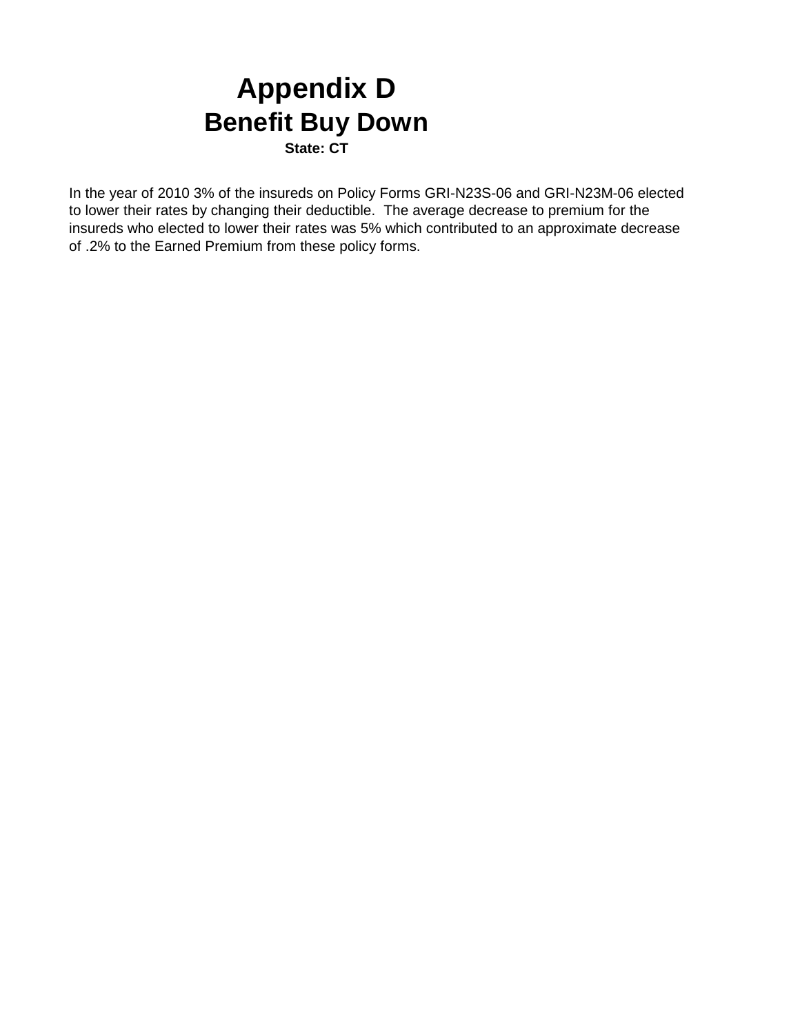# **Appendix D Benefit Buy Down**

**State: CT**

In the year of 2010 3% of the insureds on Policy Forms GRI-N23S-06 and GRI-N23M-06 elected to lower their rates by changing their deductible. The average decrease to premium for the insureds who elected to lower their rates was 5% which contributed to an approximate decrease of .2% to the Earned Premium from these policy forms.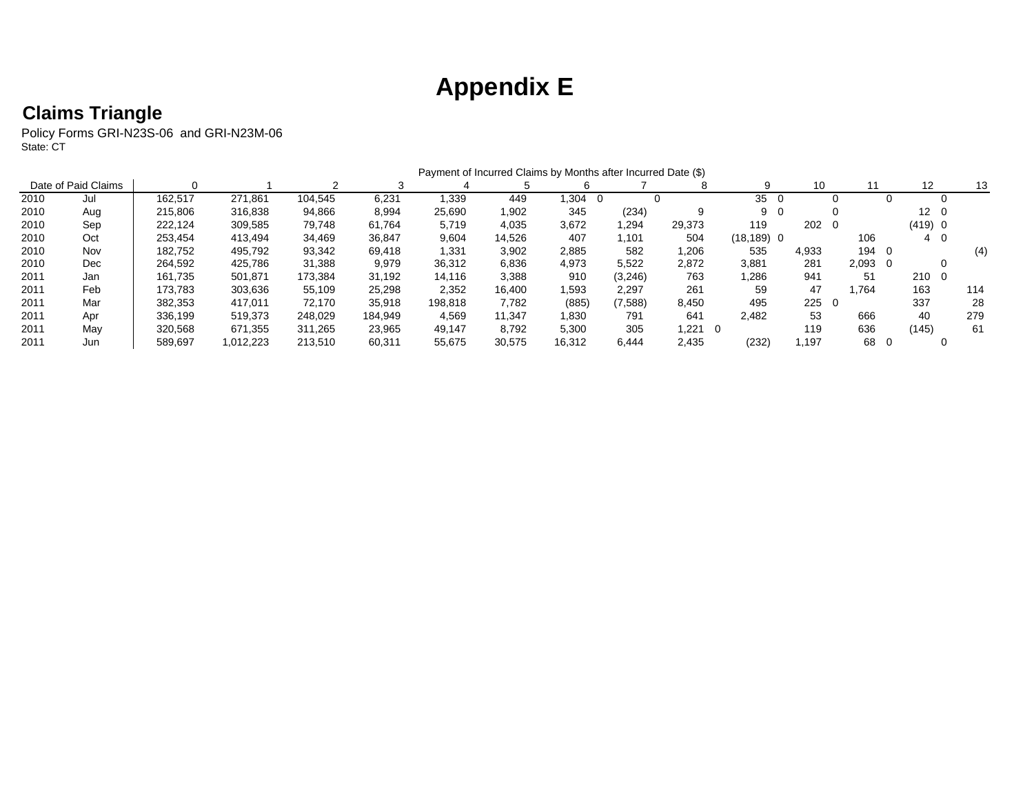# **Appendix E**

### **Claims Triangle**

Policy Forms GRI-N23S-06 and GRI-N23M-06 State: CT

|      |                     |         |           |         |         | Payment of Incurred Claims by Months after Incurred Date (\$) |        |             |         |              |               |            |                 |              |         |          |     |
|------|---------------------|---------|-----------|---------|---------|---------------------------------------------------------------|--------|-------------|---------|--------------|---------------|------------|-----------------|--------------|---------|----------|-----|
|      | Date of Paid Claims |         |           |         |         |                                                               |        |             |         |              | 9             | 10         |                 |              | 12      |          | 13  |
| 2010 | Jul                 | 162.517 | 271,861   | 104,545 | 6,231   | 1,339                                                         | 449    | .304<br>- 0 |         |              | 35            |            |                 |              |         |          |     |
| 2010 | Aug                 | 215.806 | 316,838   | 94,866  | 8,994   | 25,690                                                        | 1,902  | 345         | (234)   | 9            | 9             | - 0        |                 |              | 12      | - 0      |     |
| 2010 | Sep                 | 222.124 | 309,585   | 79.748  | 61.764  | 5.719                                                         | 4,035  | 3,672       | 294. ا  | 29,373       | 119           | $202 \t 0$ |                 |              | (419) 0 |          |     |
| 2010 | Oct                 | 253,454 | 413,494   | 34,469  | 36,847  | 9,604                                                         | 14,526 | 407         | 101. ا  | 504          | $(18, 189)$ 0 |            | 106             |              | 40      |          |     |
| 2010 | Nov                 | 182.752 | 495.792   | 93,342  | 69.418  | 1,331                                                         | 3,902  | 2,885       | 582     | 1,206        | 535           | 4,933      | 194             | - 0          |         |          | (4) |
| 2010 | Dec                 | 264,592 | 425.786   | 31,388  | 9,979   | 36,312                                                        | 6,836  | 4,973       | 5,522   | 2,872        | 3,881         | 281        | $2.093 \quad 0$ |              |         |          |     |
| 2011 | Jan                 | 161.735 | 501,871   | 173.384 | 31.192  | 14,116                                                        | 3,388  | 910         | (3,246) | 763          | 1,286         | 941        | 51              |              | 210     | $\Omega$ |     |
| 2011 | Feb                 | 173.783 | 303,636   | 55.109  | 25,298  | 2,352                                                         | 16.400 | 593. ا      | 2,297   | 261          | 59            | 47         | .764            |              | 163     |          | 114 |
| 2011 | Mar                 | 382.353 | 417.011   | 72.170  | 35.918  | 198.818                                                       | 7,782  | (885)       | (7,588) | 8.450        | 495           | 2250       |                 |              | 337     |          | 28  |
| 2011 | Apr                 | 336.199 | 519.373   | 248.029 | 184.949 | 4.569                                                         | 11.347 | 1.830       | 791     | 641          | 2.482         | 53         | 666             |              | 40      |          | 279 |
| 2011 | Mav                 | 320.568 | 671,355   | 311.265 | 23.965  | 49.147                                                        | 8.792  | 5,300       | 305     | 1,221<br>- 0 |               | 119        | 636             |              | (145)   |          | 61  |
| 2011 | Jun                 | 589.697 | 1,012,223 | 213,510 | 60,311  | 55,675                                                        | 30,575 | 16,312      | 6,444   | 2,435        | (232)         | ,197       | 68              | $\mathbf{0}$ |         | 0        |     |